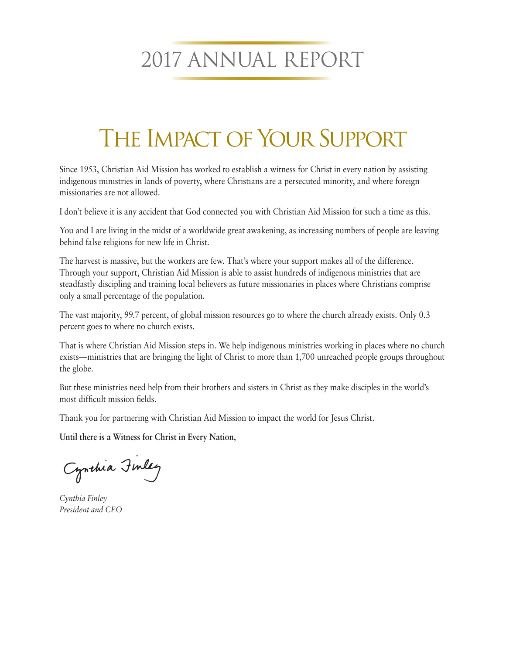## 2017 ANNUAL REPORT

## THE IMPACT OF YOUR SUPPORT

Since 1953, Christian Aid Mission has worked to establish a witness for Christ in every nation by assisting indigenous ministries in lands of poverty, where Christians are a persecuted minority, and where foreign missionaries are not allowed.

I don't believe it is any accident that God connected you with Christian Aid Mission for such a time as this.

You and I are living in the midst of a worldwide great awakening, as increasing numbers of people are leaving behind false religions for new life in Christ.

The harvest is massive, but the workers are few. That's where your support makes all of the difference. Through your support, Christian Aid Mission is able to assist hundreds of indigenous ministries that are steadfastly discipling and training local believers as future missionaries in places where Christians comprise only a small percentage of the population.

The vast majority, 99.7 percent, of global mission resources go to where the church already exists. Only 0.3 percent goes to where no church exists.

That is where Christian Aid Mission steps in. We help indigenous ministries working in places where no church exists—ministries that are bringing the light of Christ to more than 1,700 unreached people groups throughout the globe.

But these ministries need help from their brothers and sisters in Christ as they make disciples in the world's most difficult mission fields.

Thank you for partnering with Christian Aid Mission to impact the world for Jesus Christ.

**Until there is a Witness for Christ in Every Nation,**

Cynchia Finley

*Cynthia Finley President and CEO*